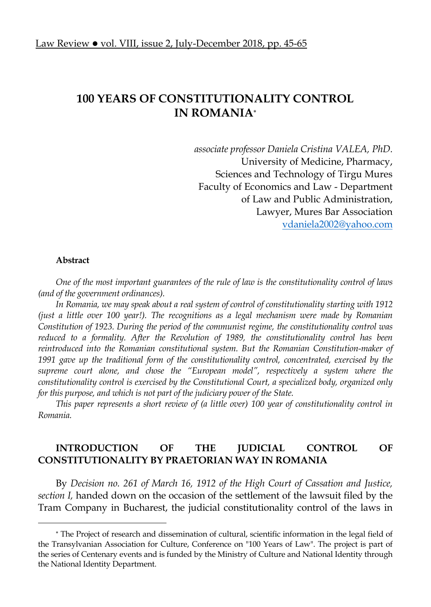# **100 YEARS OF CONSTITUTIONALITY CONTROL IN ROMANIA**

*associate professor Daniela Cristina VALEA, PhD.*  University of Medicine, Pharmacy, Sciences and Technology of Tirgu Mures Faculty of Economics and Law - Department of Law and Public Administration, Lawyer, Mures Bar Association vdaniela2002@yahoo.com

#### **Abstract**

l

*One of the most important guarantees of the rule of law is the constitutionality control of laws (and of the government ordinances).* 

*In Romania, we may speak about a real system of control of constitutionality starting with 1912 (just a little over 100 year!). The recognitions as a legal mechanism were made by Romanian Constitution of 1923. During the period of the communist regime, the constitutionality control was reduced to a formality. After the Revolution of 1989, the constitutionality control has been reintroduced into the Romanian constitutional system. But the Romanian Constitution-maker of 1991 gave up the traditional form of the constitutionality control, concentrated, exercised by the supreme court alone, and chose the "European model", respectively a system where the constitutionality control is exercised by the Constitutional Court, a specialized body, organized only for this purpose, and which is not part of the judiciary power of the State.* 

*This paper represents a short review of (a little over) 100 year of constitutionality control in Romania.* 

# **INTRODUCTION OF THE JUDICIAL CONTROL OF CONSTITUTIONALITY BY PRAETORIAN WAY IN ROMANIA**

By *Decision no.* 261 of March 16, 1912 of the High Court of Cassation and Justice, *section I,* handed down on the occasion of the settlement of the lawsuit filed by the Tram Company in Bucharest, the judicial constitutionality control of the laws in

 The Project of research and dissemination of cultural, scientific information in the legal field of the Transylvanian Association for Culture, Conference on "100 Years of Law". The project is part of the series of Centenary events and is funded by the Ministry of Culture and National Identity through the National Identity Department.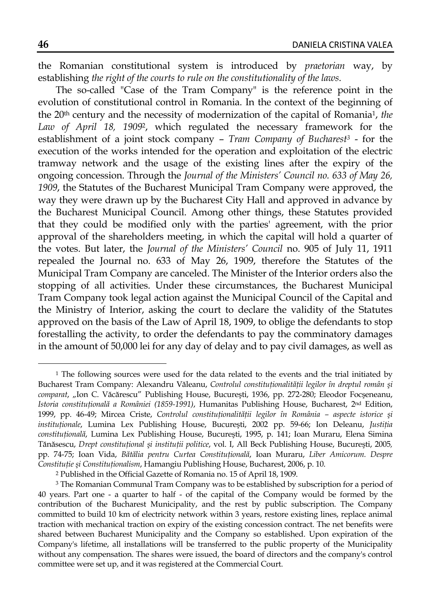the Romanian constitutional system is introduced by *praetorian* way, by establishing *the right of the courts to rule on the constitutionality of the laws*.

The so-called "Case of the Tram Company" is the reference point in the evolution of constitutional control in Romania. In the context of the beginning of the 20th century and the necessity of modernization of the capital of Romania1, *the Law of April 18, 1909*2, which regulated the necessary framework for the establishment of a joint stock company – *Tram Company of Bucharest3* - for the execution of the works intended for the operation and exploitation of the electric tramway network and the usage of the existing lines after the expiry of the ongoing concession. Through the *Journal of the Ministers' Council no. 633 of May 26, 1909*, the Statutes of the Bucharest Municipal Tram Company were approved, the way they were drawn up by the Bucharest City Hall and approved in advance by the Bucharest Municipal Council. Among other things, these Statutes provided that they could be modified only with the parties' agreement, with the prior approval of the shareholders meeting, in which the capital will hold a quarter of the votes. But later, the *Journal of the Ministers' Council* no. 905 of July 11, 1911 repealed the Journal no. 633 of May 26, 1909, therefore the Statutes of the Municipal Tram Company are canceled. The Minister of the Interior orders also the stopping of all activities. Under these circumstances, the Bucharest Municipal Tram Company took legal action against the Municipal Council of the Capital and the Ministry of Interior, asking the court to declare the validity of the Statutes approved on the basis of the Law of April 18, 1909, to oblige the defendants to stop forestalling the activity, to order the defendants to pay the comminatory damages in the amount of 50,000 lei for any day of delay and to pay civil damages, as well as

<sup>&</sup>lt;sup>1</sup> The following sources were used for the data related to the events and the trial initiated by Bucharest Tram Company: Alexandru Văleanu, *Controlul constituţionalităţii legilor în dreptul român şi comparat*, "Ion C. Văcărescu" Publishing House, Bucureşti, 1936, pp. 272-280; Eleodor Focşeneanu, *Istoria constituţională a României (1859-1991)*, Humanitas Publishing House, Bucharest, 2nd Edition, 1999, pp. 46-49; Mircea Criste, *Controlul constituţionalităţii legilor în România – aspecte istorice şi instituţionale*, Lumina Lex Publishing House, Bucureşti, 2002 pp. 59-66; Ion Deleanu, *Justiţia constituţională*, Lumina Lex Publishing House, Bucureşti, 1995, p. 141; Ioan Muraru, Elena Simina Tănăsescu, *Drept constituţional şi instituţii politice*, vol. I, All Beck Publishing House, Bucureşti, 2005*,* pp. 74-75; Ioan Vida, *Bătălia pentru Curtea Constituţională*, Ioan Muraru, *Liber Amicorum. Despre Constituţie şi Constituţionalism*, Hamangiu Publishing House, Bucharest, 2006, p. 10.

<sup>2</sup> Published in the Official Gazette of Romania no. 15 of April 18, 1909.

<sup>3</sup> The Romanian Communal Tram Company was to be established by subscription for a period of 40 years. Part one - a quarter to half - of the capital of the Company would be formed by the contribution of the Bucharest Municipality, and the rest by public subscription. The Company committed to build 10 km of electricity network within 3 years, restore existing lines, replace animal traction with mechanical traction on expiry of the existing concession contract. The net benefits were shared between Bucharest Municipality and the Company so established. Upon expiration of the Company's lifetime, all installations will be transferred to the public property of the Municipality without any compensation. The shares were issued, the board of directors and the company's control committee were set up, and it was registered at the Commercial Court.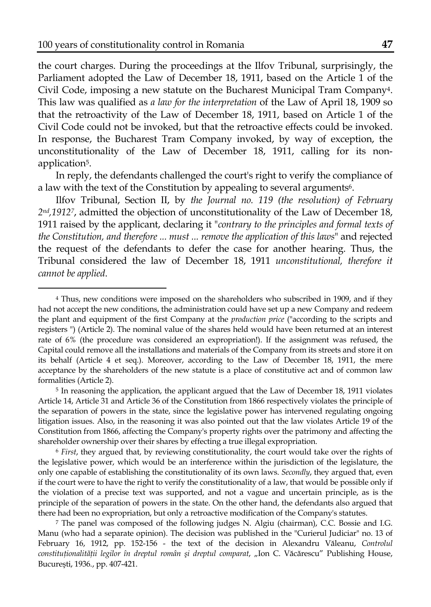l

the court charges. During the proceedings at the Ilfov Tribunal, surprisingly, the Parliament adopted the Law of December 18, 1911, based on the Article 1 of the Civil Code, imposing a new statute on the Bucharest Municipal Tram Company4. This law was qualified as *a law for the interpretation* of the Law of April 18, 1909 so that the retroactivity of the Law of December 18, 1911, based on Article 1 of the Civil Code could not be invoked, but that the retroactive effects could be invoked. In response, the Bucharest Tram Company invoked, by way of exception, the unconstitutionality of the Law of December 18, 1911, calling for its nonapplication5.

In reply, the defendants challenged the court's right to verify the compliance of a law with the text of the Constitution by appealing to several arguments<sup>6</sup>.

Ilfov Tribunal, Section II, by *the Journal no. 119 (the resolution) of February 2nd,19127*, admitted the objection of unconstitutionality of the Law of December 18, 1911 raised by the applicant, declaring it "*contrary to the principles and formal texts of the Constitution, and therefore ... must ... remove the application of this laws*" and rejected the request of the defendants to defer the case for another hearing. Thus, the Tribunal considered the law of December 18, 1911 *unconstitutional, therefore it cannot be applied*.

<sup>4</sup> Thus, new conditions were imposed on the shareholders who subscribed in 1909, and if they had not accept the new conditions, the administration could have set up a new Company and redeem the plant and equipment of the first Company at the *production price* ("according to the scripts and registers ") (Article 2). The nominal value of the shares held would have been returned at an interest rate of 6% (the procedure was considered an expropriation!). If the assignment was refused, the Capital could remove all the installations and materials of the Company from its streets and store it on its behalf (Article 4 et seq.). Moreover, according to the Law of December 18, 1911, the mere acceptance by the shareholders of the new statute is a place of constitutive act and of common law formalities (Article 2).

<sup>5</sup> In reasoning the application, the applicant argued that the Law of December 18, 1911 violates Article 14, Article 31 and Article 36 of the Constitution from 1866 respectively violates the principle of the separation of powers in the state, since the legislative power has intervened regulating ongoing litigation issues. Also, in the reasoning it was also pointed out that the law violates Article 19 of the Constitution from 1866, affecting the Company's property rights over the patrimony and affecting the shareholder ownership over their shares by effecting a true illegal expropriation.

<sup>6</sup> *First*, they argued that, by reviewing constitutionality, the court would take over the rights of the legislative power, which would be an interference within the jurisdiction of the legislature, the only one capable of establishing the constitutionality of its own laws. *Secondly*, they argued that, even if the court were to have the right to verify the constitutionality of a law, that would be possible only if the violation of a precise text was supported, and not a vague and uncertain principle, as is the principle of the separation of powers in the state. On the other hand, the defendants also argued that there had been no expropriation, but only a retroactive modification of the Company's statutes.

<sup>7</sup> The panel was composed of the following judges N. Algiu (chairman), C.C. Bossie and I.G. Manu (who had a separate opinion). The decision was published in the "Curierul Judiciar" no. 13 of February 16, 1912, pp. 152-156 - the text of the decision in Alexandru Văleanu, *Controlul constituţionalităţii legilor în dreptul român şi dreptul comparat*, "Ion C. Văcărescu" Publishing House, Bucureşti, 1936*.*, pp. 407-421.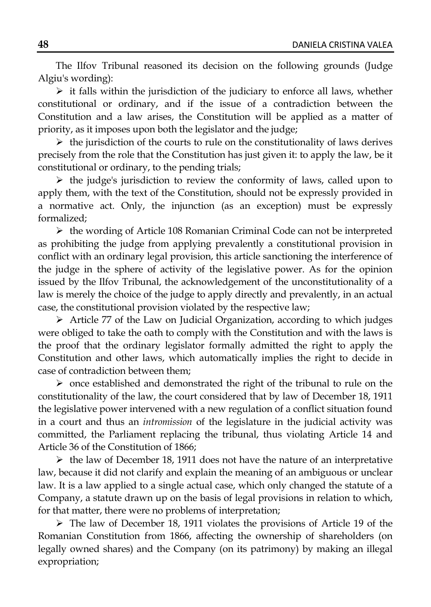The Ilfov Tribunal reasoned its decision on the following grounds (Judge Algiu's wording):

 $\triangleright$  it falls within the jurisdiction of the judiciary to enforce all laws, whether constitutional or ordinary, and if the issue of a contradiction between the Constitution and a law arises, the Constitution will be applied as a matter of priority, as it imposes upon both the legislator and the judge;

 $\triangleright$  the jurisdiction of the courts to rule on the constitutionality of laws derives precisely from the role that the Constitution has just given it: to apply the law, be it constitutional or ordinary, to the pending trials;

 $\triangleright$  the judge's jurisdiction to review the conformity of laws, called upon to apply them, with the text of the Constitution, should not be expressly provided in a normative act. Only, the injunction (as an exception) must be expressly formalized;

 $\triangleright$  the wording of Article 108 Romanian Criminal Code can not be interpreted as prohibiting the judge from applying prevalently a constitutional provision in conflict with an ordinary legal provision, this article sanctioning the interference of the judge in the sphere of activity of the legislative power. As for the opinion issued by the Ilfov Tribunal, the acknowledgement of the unconstitutionality of a law is merely the choice of the judge to apply directly and prevalently, in an actual case, the constitutional provision violated by the respective law;

 $\triangleright$  Article 77 of the Law on Judicial Organization, according to which judges were obliged to take the oath to comply with the Constitution and with the laws is the proof that the ordinary legislator formally admitted the right to apply the Constitution and other laws, which automatically implies the right to decide in case of contradiction between them;

 $\triangleright$  once established and demonstrated the right of the tribunal to rule on the constitutionality of the law, the court considered that by law of December 18, 1911 the legislative power intervened with a new regulation of a conflict situation found in a court and thus an *intromission* of the legislature in the judicial activity was committed, the Parliament replacing the tribunal, thus violating Article 14 and Article 36 of the Constitution of 1866;

 $\triangleright$  the law of December 18, 1911 does not have the nature of an interpretative law, because it did not clarify and explain the meaning of an ambiguous or unclear law. It is a law applied to a single actual case, which only changed the statute of a Company, a statute drawn up on the basis of legal provisions in relation to which, for that matter, there were no problems of interpretation;

 The law of December 18, 1911 violates the provisions of Article 19 of the Romanian Constitution from 1866, affecting the ownership of shareholders (on legally owned shares) and the Company (on its patrimony) by making an illegal expropriation;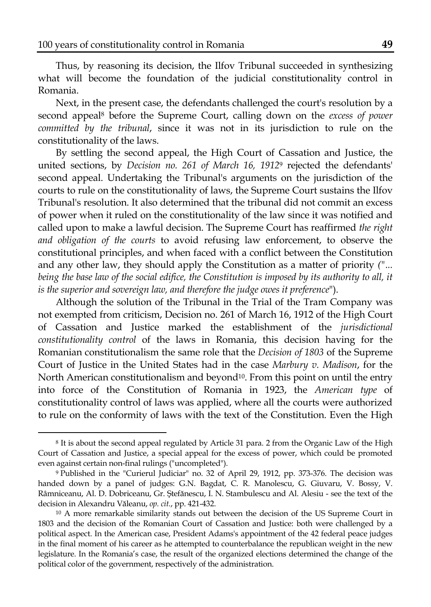$\overline{a}$ 

Thus, by reasoning its decision, the Ilfov Tribunal succeeded in synthesizing what will become the foundation of the judicial constitutionality control in Romania.

Next, in the present case, the defendants challenged the court's resolution by a second appeal8 before the Supreme Court, calling down on the *excess of power committed by the tribunal*, since it was not in its jurisdiction to rule on the constitutionality of the laws.

By settling the second appeal, the High Court of Cassation and Justice, the united sections, by *Decision no. 261 of March 16, 1912*9 rejected the defendants' second appeal. Undertaking the Tribunal's arguments on the jurisdiction of the courts to rule on the constitutionality of laws, the Supreme Court sustains the Ilfov Tribunal's resolution. It also determined that the tribunal did not commit an excess of power when it ruled on the constitutionality of the law since it was notified and called upon to make a lawful decision. The Supreme Court has reaffirmed *the right and obligation of the courts* to avoid refusing law enforcement, to observe the constitutional principles, and when faced with a conflict between the Constitution and any other law, they should apply the Constitution as a matter of priority *("... being the base law of the social edifice, the Constitution is imposed by its authority to all, it is the superior and sovereign law, and therefore the judge owes it preference*").

Although the solution of the Tribunal in the Trial of the Tram Company was not exempted from criticism, Decision no. 261 of March 16, 1912 of the High Court of Cassation and Justice marked the establishment of the *jurisdictional constitutionality control* of the laws in Romania, this decision having for the Romanian constitutionalism the same role that the *Decision of 1803* of the Supreme Court of Justice in the United States had in the case *Marbury v. Madison*, for the North American constitutionalism and beyond<sup>10</sup>. From this point on until the entry into force of the Constitution of Romania in 1923, the *American type* of constitutionality control of laws was applied, where all the courts were authorized to rule on the conformity of laws with the text of the Constitution. Even the High

<sup>8</sup> It is about the second appeal regulated by Article 31 para. 2 from the Organic Law of the High Court of Cassation and Justice, a special appeal for the excess of power, which could be promoted even against certain non-final rulings ("uncompleted").

<sup>9</sup> Published in the "Curierul Judiciar" no. 32 of April 29, 1912, pp. 373-376. The decision was handed down by a panel of judges: G.N. Bagdat, C. R. Manolescu, G. Giuvaru, V. Bossy, V. Râmniceanu, Al. D. Dobriceanu, Gr. Ştefănescu, I. N. Stambulescu and Al. Alesiu - see the text of the decision in Alexandru Văleanu, *op. cit.*, pp. 421-432.

<sup>&</sup>lt;sup>10</sup> A more remarkable similarity stands out between the decision of the US Supreme Court in 1803 and the decision of the Romanian Court of Cassation and Justice: both were challenged by a political aspect. In the American case, President Adams's appointment of the 42 federal peace judges in the final moment of his career as he attempted to counterbalance the republican weight in the new legislature. In the Romania's case, the result of the organized elections determined the change of the political color of the government, respectively of the administration.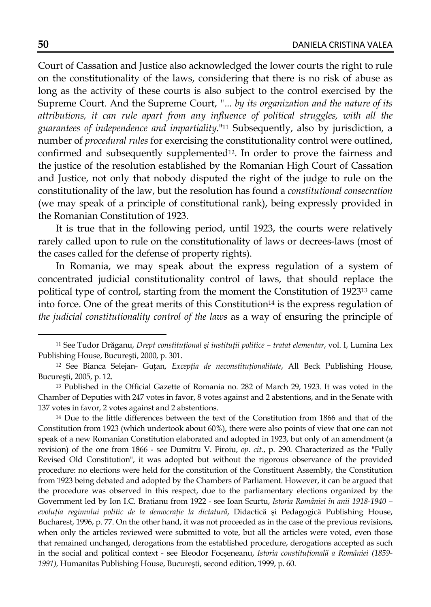Court of Cassation and Justice also acknowledged the lower courts the right to rule on the constitutionality of the laws, considering that there is no risk of abuse as long as the activity of these courts is also subject to the control exercised by the Supreme Court. And the Supreme Court, *"... by its organization and the nature of its attributions, it can rule apart from any influence of political struggles, with all the guarantees of independence and impartiality*."11 Subsequently, also by jurisdiction, a number of *procedural rules* for exercising the constitutionality control were outlined, confirmed and subsequently supplemented<sup>12</sup>. In order to prove the fairness and the justice of the resolution established by the Romanian High Court of Cassation and Justice, not only that nobody disputed the right of the judge to rule on the constitutionality of the law, but the resolution has found a *constitutional consecration* (we may speak of a principle of constitutional rank), being expressly provided in the Romanian Constitution of 1923.

It is true that in the following period, until 1923, the courts were relatively rarely called upon to rule on the constitutionality of laws or decrees-laws (most of the cases called for the defense of property rights).

In Romania, we may speak about the express regulation of a system of concentrated judicial constitutionality control of laws, that should replace the political type of control, starting from the moment the Constitution of 192313 came into force. One of the great merits of this Constitution<sup>14</sup> is the express regulation of *the judicial constitutionality control of the laws* as a way of ensuring the principle of

<sup>14</sup> Due to the little differences between the text of the Constitution from 1866 and that of the Constitution from 1923 (which undertook about 60%), there were also points of view that one can not speak of a new Romanian Constitution elaborated and adopted in 1923, but only of an amendment (a revision) of the one from 1866 - see Dumitru V. Firoiu, *op. cit.*, p. 290. Characterized as the "Fully Revised Old Constitution", it was adopted but without the rigorous observance of the provided procedure: no elections were held for the constitution of the Constituent Assembly, the Constitution from 1923 being debated and adopted by the Chambers of Parliament. However, it can be argued that the procedure was observed in this respect, due to the parliamentary elections organized by the Government led by Ion I.C. Bratianu from 1922 - see Ioan Scurtu, *Istoria României în anii 1918-1940 – evoluţia regimului politic de la democraţie la dictatură*, Didactică şi Pedagogică Publishing House, Bucharest, 1996, p. 77. On the other hand, it was not proceeded as in the case of the previous revisions, when only the articles reviewed were submitted to vote, but all the articles were voted, even those that remained unchanged, derogations from the established procedure, derogations accepted as such in the social and political context - see Eleodor Focşeneanu, *Istoria constituţională a României (1859- 1991),* Humanitas Publishing House, Bucureşti, second edition, 1999, p. 60.

<sup>11</sup> See Tudor Drăganu, *Drept constituţional şi instituţii politice – tratat elementar*, vol. I, Lumina Lex Publishing House, Bucureşti, 2000, p. 301.

<sup>12</sup> See Bianca Selejan- Guţan, *Excepţia de neconstituţionalitate*, All Beck Publishing House, Bucureşti, 2005, p. 12.

<sup>13</sup> Published in the Official Gazette of Romania no. 282 of March 29, 1923. It was voted in the Chamber of Deputies with 247 votes in favor, 8 votes against and 2 abstentions, and in the Senate with 137 votes in favor, 2 votes against and 2 abstentions.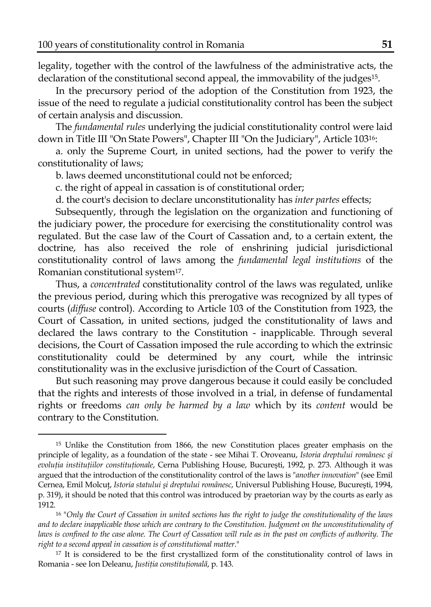$\overline{a}$ 

legality, together with the control of the lawfulness of the administrative acts, the declaration of the constitutional second appeal, the immovability of the judges<sup>15</sup>.

In the precursory period of the adoption of the Constitution from 1923, the issue of the need to regulate a judicial constitutionality control has been the subject of certain analysis and discussion.

The *fundamental rules* underlying the judicial constitutionality control were laid down in Title III "On State Powers", Chapter III "On the Judiciary", Article 10316:

a. only the Supreme Court, in united sections, had the power to verify the constitutionality of laws;

b. laws deemed unconstitutional could not be enforced;

c. the right of appeal in cassation is of constitutional order;

d. the court's decision to declare unconstitutionality has *inter partes* effects;

Subsequently, through the legislation on the organization and functioning of the judiciary power, the procedure for exercising the constitutionality control was regulated. But the case law of the Court of Cassation and, to a certain extent, the doctrine, has also received the role of enshrining judicial jurisdictional constitutionality control of laws among the *fundamental legal institutions* of the Romanian constitutional system17.

Thus, a *concentrated* constitutionality control of the laws was regulated, unlike the previous period, during which this prerogative was recognized by all types of courts (*diffuse* control). According to Article 103 of the Constitution from 1923, the Court of Cassation, in united sections, judged the constitutionality of laws and declared the laws contrary to the Constitution - inapplicable. Through several decisions, the Court of Cassation imposed the rule according to which the extrinsic constitutionality could be determined by any court, while the intrinsic constitutionality was in the exclusive jurisdiction of the Court of Cassation.

But such reasoning may prove dangerous because it could easily be concluded that the rights and interests of those involved in a trial, in defense of fundamental rights or freedoms *can only be harmed by a law* which by its *content* would be contrary to the Constitution.

<sup>17</sup> It is considered to be the first crystallized form of the constitutionality control of laws in Romania - see Ion Deleanu, *Justiţia constituţională*, p. 143.

<sup>15</sup> Unlike the Constitution from 1866, the new Constitution places greater emphasis on the principle of legality, as a foundation of the state - see Mihai T. Oroveanu, *Istoria dreptului românesc şi evoluţia instituţiilor constituţionale*, Cerna Publishing House, Bucureşti, 1992, p. 273. Although it was argued that the introduction of the constitutionality control of the laws is "*another innovation*" (see Emil Cernea, Emil Molcuţ, *Istoria statului şi dreptului românesc*, Universul Publishing House, Bucureşti, 1994, p. 319), it should be noted that this control was introduced by praetorian way by the courts as early as 1912.

<sup>16 &</sup>quot;*Only the Court of Cassation in united sections has the right to judge the constitutionality of the laws and to declare inapplicable those which are contrary to the Constitution. Judgment on the unconstitutionality of laws is confined to the case alone. The Court of Cassation will rule as in the past on conflicts of authority. The right to a second appeal in cassation is of constitutional matter*."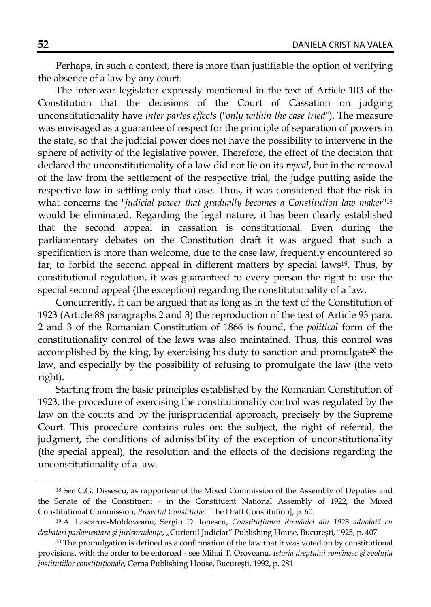Perhaps, in such a context, there is more than justifiable the option of verifying the absence of a law by any court.

The inter-war legislator expressly mentioned in the text of Article 103 of the Constitution that the decisions of the Court of Cassation on judging unconstitutionality have *inter partes effects* ("*only within the case tried*"). The measure was envisaged as a guarantee of respect for the principle of separation of powers in the state, so that the judicial power does not have the possibility to intervene in the sphere of activity of the legislative power. Therefore, the effect of the decision that declared the unconstitutionality of a law did not lie on its *repeal*, but in the removal of the law from the settlement of the respective trial, the judge putting aside the respective law in settling only that case. Thus, it was considered that the risk in what concerns the "*judicial power that gradually becomes a Constitution law maker*"18 would be eliminated. Regarding the legal nature, it has been clearly established that the second appeal in cassation is constitutional. Even during the parliamentary debates on the Constitution draft it was argued that such a specification is more than welcome, due to the case law, frequently encountered so far, to forbid the second appeal in different matters by special laws19. Thus, by constitutional regulation, it was guaranteed to every person the right to use the special second appeal (the exception) regarding the constitutionality of a law.

Concurrently, it can be argued that as long as in the text of the Constitution of 1923 (Article 88 paragraphs 2 and 3) the reproduction of the text of Article 93 para. 2 and 3 of the Romanian Constitution of 1866 is found, the *political* form of the constitutionality control of the laws was also maintained. Thus, this control was accomplished by the king, by exercising his duty to sanction and promulgate20 the law, and especially by the possibility of refusing to promulgate the law (the veto right).

Starting from the basic principles established by the Romanian Constitution of 1923, the procedure of exercising the constitutionality control was regulated by the law on the courts and by the jurisprudential approach, precisely by the Supreme Court. This procedure contains rules on: the subject, the right of referral, the judgment, the conditions of admissibility of the exception of unconstitutionality (the special appeal), the resolution and the effects of the decisions regarding the unconstitutionality of a law.

<sup>18</sup> See C.G. Dissescu, as rapporteur of the Mixed Commission of the Assembly of Deputies and the Senate of the Constituent - in the Constituent National Assembly of 1922, the Mixed Constitutional Commission, *Proiectul Constituţiei* [The Draft Constitution], p. 60.

<sup>19</sup> A. Lascarov-Moldoveanu, Sergiu D. Ionescu, *Constituţiunea României din 1923 adnotată cu dezbateri parlamentare şi jurisprudenţe*, "Curierul Judiciar" Publishing House, Bucureşti, 1925, p. 407.

<sup>20</sup> The promulgation is defined as a confirmation of the law that it was voted on by constitutional provisions, with the order to be enforced - see Mihai T. Oroveanu, *Istoria dreptului românesc şi evoluţia instituţiilor constituţionale*, Cerna Publishing House, Bucureşti, 1992, p. 281.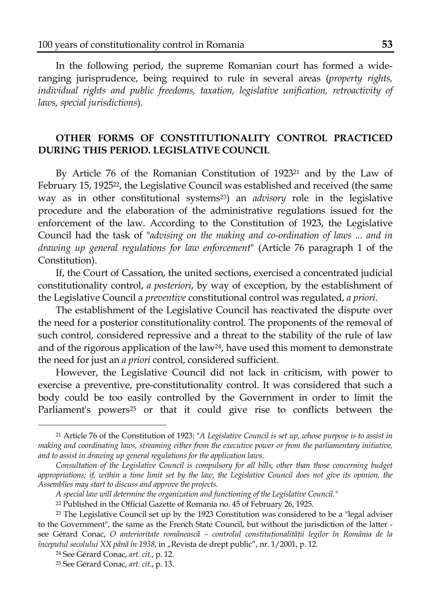In the following period, the supreme Romanian court has formed a wideranging jurisprudence, being required to rule in several areas (*property rights, individual rights and public freedoms, taxation, legislative unification, retroactivity of laws, special jurisdictions*).

## **OTHER FORMS OF CONSTITUTIONALITY CONTROL PRACTICED DURING THIS PERIOD. LEGISLATIVE COUNCIL**

By Article 76 of the Romanian Constitution of 192321 and by the Law of February 15, 192522, the Legislative Council was established and received (the same way as in other constitutional systems23) an *advisory* role in the legislative procedure and the elaboration of the administrative regulations issued for the enforcement of the law. According to the Constitution of 1923, the Legislative Council had the task of "*advising on the making and co-ordination of laws ... and in drawing up general regulations for law enforcement*" (Article 76 paragraph 1 of the Constitution).

If, the Court of Cassation, the united sections, exercised a concentrated judicial constitutionality control, *a posteriori*, by way of exception, by the establishment of the Legislative Council a *preventive* constitutional control was regulated, *a priori*.

The establishment of the Legislative Council has reactivated the dispute over the need for a posterior constitutionality control. The proponents of the removal of such control, considered repressive and a threat to the stability of the rule of law and of the rigorous application of the law<sup>24</sup>, have used this moment to demonstrate the need for just an *a priori* control, considered sufficient.

However, the Legislative Council did not lack in criticism, with power to exercise a preventive, pre-constitutionality control. It was considered that such a body could be too easily controlled by the Government in order to limit the Parliament's powers<sup>25</sup> or that it could give rise to conflicts between the

l

<sup>21</sup> Article 76 of the Constitution of 1923: "*A Legislative Council is set up, whose purpose is to assist in making and coordinating laws, streaming either from the executive power or from the parliamentary initiative, and to assist in drawing up general regulations for the application laws*.

*Consultation of the Legislative Council is compulsory for all bills, other than those concerning budget appropriations; if, within a time limit set by the law, the Legislative Council does not give its opinion, the Assemblies may start to discuss and approve the projects.* 

*A special law will determine the organization and functioning of the Legislative Council."*

<sup>22</sup> Published in the Official Gazette of Romania no. 45 of February 26, 1925.

<sup>&</sup>lt;sup>23</sup> The Legislative Council set up by the 1923 Constitution was considered to be a "legal adviser to the Government", the same as the French State Council, but without the jurisdiction of the latter see Gérard Conac, *O anterioritate românească – controlul constituţionalităţii legilor în România de la începutul secolului XX până în 1938*, in "Revista de drept public", nr. 1/2001, p. 12.

<sup>24</sup> See Gérard Conac, *art. cit*., p. 12.

<sup>25</sup> See Gérard Conac, *art. cit*., p. 13.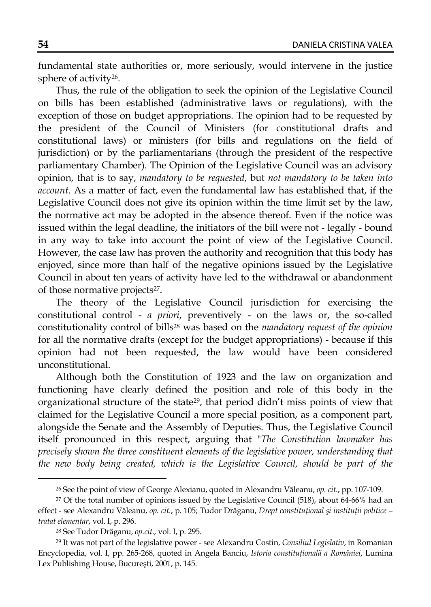fundamental state authorities or, more seriously, would intervene in the justice sphere of activity26.

Thus, the rule of the obligation to seek the opinion of the Legislative Council on bills has been established (administrative laws or regulations), with the exception of those on budget appropriations. The opinion had to be requested by the president of the Council of Ministers (for constitutional drafts and constitutional laws) or ministers (for bills and regulations on the field of jurisdiction) or by the parliamentarians (through the president of the respective parliamentary Chamber). The Opinion of the Legislative Council was an advisory opinion, that is to say, *mandatory to be requested*, but *not mandatory to be taken into account*. As a matter of fact, even the fundamental law has established that, if the Legislative Council does not give its opinion within the time limit set by the law, the normative act may be adopted in the absence thereof. Even if the notice was issued within the legal deadline, the initiators of the bill were not - legally - bound in any way to take into account the point of view of the Legislative Council. However, the case law has proven the authority and recognition that this body has enjoyed, since more than half of the negative opinions issued by the Legislative Council in about ten years of activity have led to the withdrawal or abandonment of those normative projects<sup>27</sup>.

The theory of the Legislative Council jurisdiction for exercising the constitutional control - *a priori*, preventively - on the laws or, the so-called constitutionality control of bills28 was based on the *mandatory request of the opinion* for all the normative drafts (except for the budget appropriations) - because if this opinion had not been requested, the law would have been considered unconstitutional.

Although both the Constitution of 1923 and the law on organization and functioning have clearly defined the position and role of this body in the organizational structure of the state29, that period didn't miss points of view that claimed for the Legislative Council a more special position, as a component part, alongside the Senate and the Assembly of Deputies. Thus, the Legislative Council itself pronounced in this respect, arguing that "*The Constitution lawmaker has precisely shown the three constituent elements of the legislative power, understanding that*  the new body being created, which is the Legislative Council, should be part of the

<sup>26</sup> See the point of view of George Alexianu, quoted in Alexandru Văleanu, *op. cit*., pp. 107-109.

<sup>&</sup>lt;sup>27</sup> Of the total number of opinions issued by the Legislative Council (518), about 64-66% had an effect - see Alexandru Văleanu, *op. cit.*, p. 105; Tudor Drăganu, *Drept constituţional şi instituţii politice – tratat elementar*, vol. I, p. 296.

<sup>28</sup> See Tudor Drăganu, *op.cit*., vol. I, p. 295.

<sup>29</sup> It was not part of the legislative power - see Alexandru Costin, *Consiliul Legislativ*, in Romanian Encyclopedia, vol. I, pp. 265-268, quoted in Angela Banciu, *Istoria constituţională a României*, Lumina Lex Publishing House, Bucureşti, 2001, p. 145.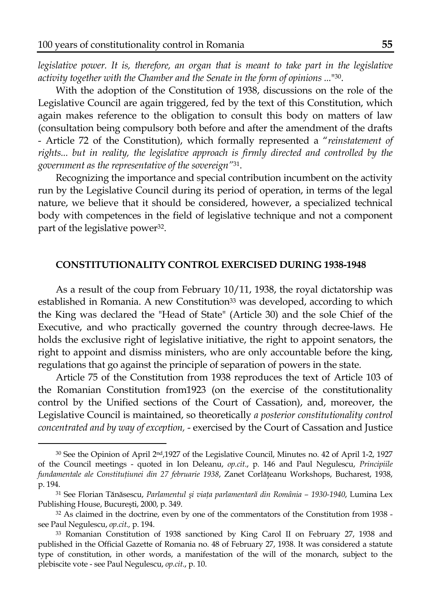$\overline{a}$ 

*legislative power. It is, therefore, an organ that is meant to take part in the legislative activity together with the Chamber and the Senate in the form of opinions ...*"30.

With the adoption of the Constitution of 1938, discussions on the role of the Legislative Council are again triggered, fed by the text of this Constitution, which again makes reference to the obligation to consult this body on matters of law (consultation being compulsory both before and after the amendment of the drafts - Article 72 of the Constitution), which formally represented a "*reinstatement of rights... but in reality, the legislative approach is firmly directed and controlled by the government as the representative of the sovereign"*31.

Recognizing the importance and special contribution incumbent on the activity run by the Legislative Council during its period of operation, in terms of the legal nature, we believe that it should be considered, however, a specialized technical body with competences in the field of legislative technique and not a component part of the legislative power<sup>32</sup>.

#### **CONSTITUTIONALITY CONTROL EXERCISED DURING 1938-1948**

As a result of the coup from February 10/11, 1938, the royal dictatorship was established in Romania. A new Constitution<sup>33</sup> was developed, according to which the King was declared the "Head of State" (Article 30) and the sole Chief of the Executive, and who practically governed the country through decree-laws. He holds the exclusive right of legislative initiative, the right to appoint senators, the right to appoint and dismiss ministers, who are only accountable before the king, regulations that go against the principle of separation of powers in the state.

Article 75 of the Constitution from 1938 reproduces the text of Article 103 of the Romanian Constitution from1923 (on the exercise of the constitutionality control by the Unified sections of the Court of Cassation), and, moreover, the Legislative Council is maintained, so theoretically *a posterior constitutionality control concentrated and by way of exception,* - exercised by the Court of Cassation and Justice

<sup>&</sup>lt;sup>30</sup> See the Opinion of April 2<sup>nd</sup>,1927 of the Legislative Council, Minutes no. 42 of April 1-2, 1927 of the Council meetings - quoted in Ion Deleanu, *op.cit*., p. 146 and Paul Negulescu, *Principiile fundamentale ale Constituţiunei din 27 februarie 1938*, Zanet Corlăţeanu Workshops, Bucharest, 1938, p. 194.

<sup>31</sup> See Florian Tănăsescu, *Parlamentul şi viaţa parlamentară din România – 1930-1940*, Lumina Lex Publishing House, Bucureşti, 2000, p. 349.

<sup>&</sup>lt;sup>32</sup> As claimed in the doctrine, even by one of the commentators of the Constitution from 1938 see Paul Negulescu, *op.cit.,* p. 194.

<sup>33</sup> Romanian Constitution of 1938 sanctioned by King Carol II on February 27, 1938 and published in the Official Gazette of Romania no. 48 of February 27, 1938. It was considered a statute type of constitution, in other words, a manifestation of the will of the monarch, subject to the plebiscite vote - see Paul Negulescu, *op.cit*., p. 10.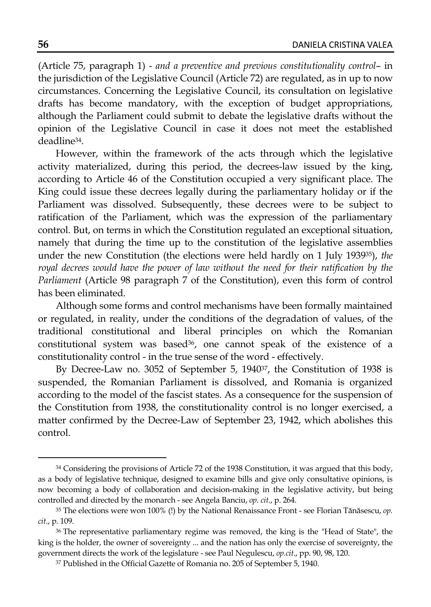(Article 75, paragraph 1) - *and a preventive and previous constitutionality control*– in the jurisdiction of the Legislative Council (Article 72) are regulated, as in up to now circumstances. Concerning the Legislative Council, its consultation on legislative drafts has become mandatory, with the exception of budget appropriations, although the Parliament could submit to debate the legislative drafts without the opinion of the Legislative Council in case it does not meet the established deadline34.

However, within the framework of the acts through which the legislative activity materialized, during this period, the decrees-law issued by the king, according to Article 46 of the Constitution occupied a very significant place. The King could issue these decrees legally during the parliamentary holiday or if the Parliament was dissolved. Subsequently, these decrees were to be subject to ratification of the Parliament, which was the expression of the parliamentary control. But, on terms in which the Constitution regulated an exceptional situation, namely that during the time up to the constitution of the legislative assemblies under the new Constitution (the elections were held hardly on 1 July 193935), *the royal decrees would have the power of law without the need for their ratification by the Parliament* (Article 98 paragraph 7 of the Constitution), even this form of control has been eliminated.

Although some forms and control mechanisms have been formally maintained or regulated, in reality, under the conditions of the degradation of values, of the traditional constitutional and liberal principles on which the Romanian constitutional system was based<sup>36</sup>, one cannot speak of the existence of a constitutionality control - in the true sense of the word - effectively.

By Decree-Law no. 3052 of September 5, 194037, the Constitution of 1938 is suspended, the Romanian Parliament is dissolved, and Romania is organized according to the model of the fascist states. As a consequence for the suspension of the Constitution from 1938, the constitutionality control is no longer exercised, a matter confirmed by the Decree-Law of September 23, 1942, which abolishes this control.

<sup>&</sup>lt;sup>34</sup> Considering the provisions of Article 72 of the 1938 Constitution, it was argued that this body, as a body of legislative technique, designed to examine bills and give only consultative opinions, is now becoming a body of collaboration and decision-making in the legislative activity, but being controlled and directed by the monarch - see Angela Banciu, *op. cit.*, p. 264.

<sup>35</sup> The elections were won 100% (!) by the National Renaissance Front - see Florian Tănăsescu, *op. cit*., p. 109.

<sup>36</sup> The representative parliamentary regime was removed, the king is the "Head of State", the king is the holder, the owner of sovereignty ... and the nation has only the exercise of sovereignty, the government directs the work of the legislature - see Paul Negulescu, *op.cit*., pp. 90, 98, 120.

<sup>37</sup> Published in the Official Gazette of Romania no. 205 of September 5, 1940.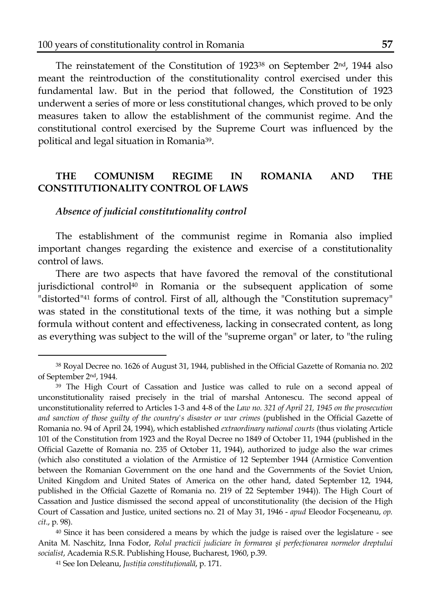The reinstatement of the Constitution of 1923<sup>38</sup> on September 2<sup>nd</sup>, 1944 also meant the reintroduction of the constitutionality control exercised under this fundamental law. But in the period that followed, the Constitution of 1923 underwent a series of more or less constitutional changes, which proved to be only measures taken to allow the establishment of the communist regime. And the constitutional control exercised by the Supreme Court was influenced by the political and legal situation in Romania39.

# **THE COMUNISM REGIME IN ROMANIA AND THE CONSTITUTIONALITY CONTROL OF LAWS**

### *Absence of judicial constitutionality control*

 $\overline{a}$ 

The establishment of the communist regime in Romania also implied important changes regarding the existence and exercise of a constitutionality control of laws.

There are two aspects that have favored the removal of the constitutional jurisdictional control<sup>40</sup> in Romania or the subsequent application of some "distorted"41 forms of control. First of all, although the "Constitution supremacy" was stated in the constitutional texts of the time, it was nothing but a simple formula without content and effectiveness, lacking in consecrated content, as long as everything was subject to the will of the "supreme organ" or later, to "the ruling

<sup>38</sup> Royal Decree no. 1626 of August 31, 1944, published in the Official Gazette of Romania no. 202 of September 2nd, 1944.

<sup>39</sup> The High Court of Cassation and Justice was called to rule on a second appeal of unconstitutionality raised precisely in the trial of marshal Antonescu. The second appeal of unconstitutionality referred to Articles 1-3 and 4-8 of the *Law no. 321 of April 21, 1945 on the prosecution and sanction of those guilty of the country's disaster or war crimes* (published in the Official Gazette of Romania no. 94 of April 24, 1994), which established *extraordinary national courts* (thus violating Article 101 of the Constitution from 1923 and the Royal Decree no 1849 of October 11, 1944 (published in the Official Gazette of Romania no. 235 of October 11, 1944), authorized to judge also the war crimes (which also constituted a violation of the Armistice of 12 September 1944 (Armistice Convention between the Romanian Government on the one hand and the Governments of the Soviet Union, United Kingdom and United States of America on the other hand, dated September 12, 1944, published in the Official Gazette of Romania no. 219 of 22 September 1944)). The High Court of Cassation and Justice dismissed the second appeal of unconstitutionality (the decision of the High Court of Cassation and Justice, united sections no. 21 of May 31, 1946 - *apud* Eleodor Focşeneanu, *op. cit*., p. 98).

<sup>&</sup>lt;sup>40</sup> Since it has been considered a means by which the judge is raised over the legislature - see Anita M. Naschitz, Inna Fodor, *Rolul practicii judiciare în formarea şi perfecţionarea normelor dreptului socialist*, Academia R.S.R. Publishing House, Bucharest, 1960, p.39.

<sup>41</sup> See Ion Deleanu, *Justiţia constituţională*, p. 171.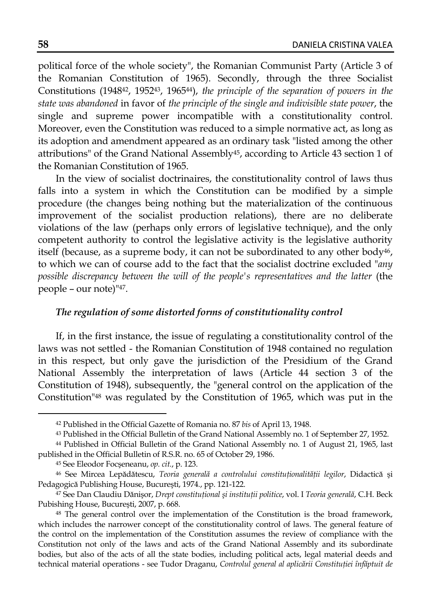political force of the whole society", the Romanian Communist Party (Article 3 of the Romanian Constitution of 1965). Secondly, through the three Socialist Constitutions (194842, 195243, 196544), *the principle of the separation of powers in the state was abandoned* in favor of *the principle of the single and indivisible state power*, the single and supreme power incompatible with a constitutionality control. Moreover, even the Constitution was reduced to a simple normative act, as long as its adoption and amendment appeared as an ordinary task "listed among the other attributions" of the Grand National Assembly45, according to Article 43 section 1 of the Romanian Constitution of 1965.

In the view of socialist doctrinaires, the constitutionality control of laws thus falls into a system in which the Constitution can be modified by a simple procedure (the changes being nothing but the materialization of the continuous improvement of the socialist production relations), there are no deliberate violations of the law (perhaps only errors of legislative technique), and the only competent authority to control the legislative activity is the legislative authority itself (because, as a supreme body, it can not be subordinated to any other body $46$ , to which we can of course add to the fact that the socialist doctrine excluded "*any possible discrepancy between the will of the people's representatives and the latter* (the people – our note)"47.

### *The regulation of some distorted forms of constitutionality control*

If, in the first instance, the issue of regulating a constitutionality control of the laws was not settled - the Romanian Constitution of 1948 contained no regulation in this respect, but only gave the jurisdiction of the Presidium of the Grand National Assembly the interpretation of laws (Article 44 section 3 of the Constitution of 1948), subsequently, the "general control on the application of the Constitution"48 was regulated by the Constitution of 1965, which was put in the

l

<sup>42</sup> Published in the Official Gazette of Romania no. 87 *bis* of April 13, 1948.

<sup>43</sup> Published in the Official Bulletin of the Grand National Assembly no. 1 of September 27, 1952.

<sup>44</sup> Published in Official Bulletin of the Grand National Assembly no. 1 of August 21, 1965, last published in the Official Bulletin of R.S.R. no. 65 of October 29, 1986.

<sup>45</sup> See Eleodor Focşeneanu, *op. cit.*, p. 123.

<sup>46</sup> See Mircea Lepădătescu, *Teoria generală a controlului constituţionalităţii legilor*, Didactică şi Pedagogică Publishing House, Bucureşti, 1974*.*, pp. 121-122.

<sup>47</sup> See Dan Claudiu Dănişor, *Drept constituţional şi instituţii politice*, vol. I *Teoria generală*, C.H. Beck Pubishing House, Bucureşti, 2007, p. 668.

<sup>48</sup> The general control over the implementation of the Constitution is the broad framework, which includes the narrower concept of the constitutionality control of laws. The general feature of the control on the implementation of the Constitution assumes the review of compliance with the Constitution not only of the laws and acts of the Grand National Assembly and its subordinate bodies, but also of the acts of all the state bodies, including political acts, legal material deeds and technical material operations - see Tudor Draganu, *Controlul general al aplicării Constituţiei înfăptuit de*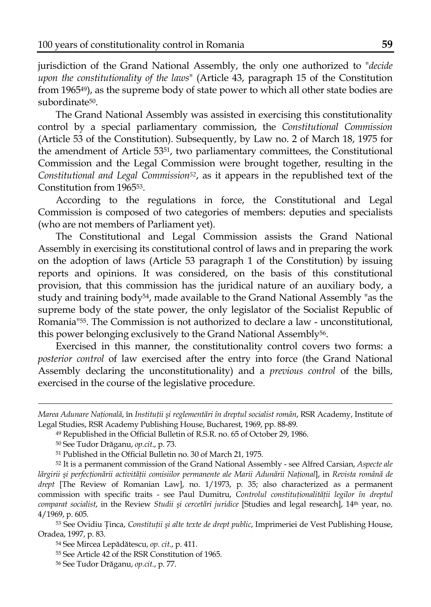jurisdiction of the Grand National Assembly, the only one authorized to "*decide upon the constitutionality of the laws*" (Article 43, paragraph 15 of the Constitution from 196549), as the supreme body of state power to which all other state bodies are subordinate50.

The Grand National Assembly was assisted in exercising this constitutionality control by a special parliamentary commission, the *Constitutional Commission* (Article 53 of the Constitution). Subsequently, by Law no. 2 of March 18, 1975 for the amendment of Article 5351, two parliamentary committees, the Constitutional Commission and the Legal Commission were brought together, resulting in the *Constitutional and Legal Commission52*, as it appears in the republished text of the Constitution from 196553.

According to the regulations in force, the Constitutional and Legal Commission is composed of two categories of members: deputies and specialists (who are not members of Parliament yet).

The Constitutional and Legal Commission assists the Grand National Assembly in exercising its constitutional control of laws and in preparing the work on the adoption of laws (Article 53 paragraph 1 of the Constitution) by issuing reports and opinions. It was considered, on the basis of this constitutional provision, that this commission has the juridical nature of an auxiliary body, a study and training body54, made available to the Grand National Assembly "as the supreme body of the state power, the only legislator of the Socialist Republic of Romania"55. The Commission is not authorized to declare a law - unconstitutional, this power belonging exclusively to the Grand National Assembly56.

Exercised in this manner, the constitutionality control covers two forms: a *posterior control* of law exercised after the entry into force (the Grand National Assembly declaring the unconstitutionality) and a *previous control* of the bills, exercised in the course of the legislative procedure.

l

53 See Ovidiu Ţinca, *Constituţii şi alte texte de drept public*, Imprimeriei de Vest Publishing House, Oradea, 1997, p. 83.

*Marea Adunare Naţională*, în *Instituţii şi reglementări în dreptul socialist român*, RSR Academy, Institute of Legal Studies, RSR Academy Publishing House, Bucharest, 1969, pp. 88-89.

<sup>49</sup> Republished in the Official Bulletin of R.S.R. no. 65 of October 29, 1986.

<sup>50</sup> See Tudor Drăganu, *op.cit*., p. 73.

<sup>51</sup> Published in the Official Bulletin no. 30 of March 21, 1975.

<sup>52</sup> It is a permanent commission of the Grand National Assembly - see Alfred Carsian, *Aspecte ale*  lărgirii și perfecționării activității comisiilor permanente ale Marii Adunării Național], in Revista română de *drept* [The Review of Romanian Law], no. 1/1973, p. 35; also characterized as a permanent commission with specific traits - see Paul Dumitru, *Controlul constituţionalităţii legilor în dreptul comparat socialist*, in the Review *Studii şi cercetări juridice* [Studies and legal research], 14th year, no. 4/1969, p. 605.

<sup>54</sup> See Mircea Lepădătescu, *op. cit.*, p. 411.

<sup>55</sup> See Article 42 of the RSR Constitution of 1965.

<sup>56</sup> See Tudor Drăganu, *op.cit.*, p. 77.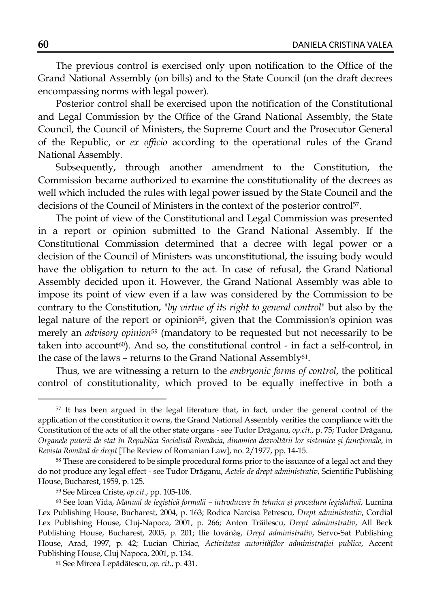The previous control is exercised only upon notification to the Office of the Grand National Assembly (on bills) and to the State Council (on the draft decrees encompassing norms with legal power).

Posterior control shall be exercised upon the notification of the Constitutional and Legal Commission by the Office of the Grand National Assembly, the State Council, the Council of Ministers, the Supreme Court and the Prosecutor General of the Republic, or *ex officio* according to the operational rules of the Grand National Assembly.

Subsequently, through another amendment to the Constitution, the Commission became authorized to examine the constitutionality of the decrees as well which included the rules with legal power issued by the State Council and the decisions of the Council of Ministers in the context of the posterior control57.

The point of view of the Constitutional and Legal Commission was presented in a report or opinion submitted to the Grand National Assembly. If the Constitutional Commission determined that a decree with legal power or a decision of the Council of Ministers was unconstitutional, the issuing body would have the obligation to return to the act. In case of refusal, the Grand National Assembly decided upon it. However, the Grand National Assembly was able to impose its point of view even if a law was considered by the Commission to be contrary to the Constitution, "*by virtue of its right to general control*" but also by the legal nature of the report or opinion<sup>58</sup>, given that the Commission's opinion was merely an *advisory opinion59* (mandatory to be requested but not necessarily to be taken into account<sup>60</sup>). And so, the constitutional control - in fact a self-control, in the case of the laws – returns to the Grand National Assembly<sup>61</sup>.

Thus, we are witnessing a return to the *embryonic forms of control*, the political control of constitutionality, which proved to be equally ineffective in both a

l

<sup>&</sup>lt;sup>57</sup> It has been argued in the legal literature that, in fact, under the general control of the application of the constitution it owns, the Grand National Assembly verifies the compliance with the Constitution of the acts of all the other state organs - see Tudor Drăganu, *op.cit.*, p. 75; Tudor Drăganu, *Organele puterii de stat în Republica Socialistă România*, *dinamica dezvoltării lor sistemice şi funcţionale*, in *Revista Română de drept* [The Review of Romanian Law], no. 2/1977, pp. 14-15.

<sup>58</sup> These are considered to be simple procedural forms prior to the issuance of a legal act and they do not produce any legal effect - see Tudor Drăganu, *Actele de drept administrativ*, Scientific Publishing House, Bucharest, 1959, p. 125.

<sup>59</sup> See Mircea Criste, *op.cit*., pp. 105-106.

<sup>60</sup> See Ioan Vida, *Manual de legistică formală – introducere în tehnica şi procedura legislativă*, Lumina Lex Publishing House, Bucharest, 2004, p. 163; Rodica Narcisa Petrescu, *Drept administrativ*, Cordial Lex Publishing House, Cluj-Napoca, 2001, p. 266; Anton Trăilescu, *Drept administrativ*, All Beck Publishing House, Bucharest, 2005, p. 201; Ilie Iovănăş, *Drept administrativ*, Servo-Sat Publishing House, Arad, 1997, p. 42; Lucian Chiriac, *Activitatea autorităţilor administraţiei publice*, Accent Publishing House, Cluj Napoca, 2001, p. 134.

<sup>61</sup> See Mircea Lepădătescu, *op. cit.*, p. 431.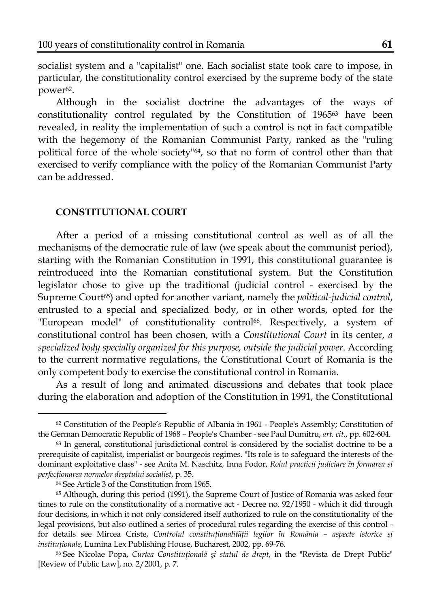socialist system and a "capitalist" one. Each socialist state took care to impose, in particular, the constitutionality control exercised by the supreme body of the state power<sup>62</sup>.

Although in the socialist doctrine the advantages of the ways of constitutionality control regulated by the Constitution of 196563 have been revealed, in reality the implementation of such a control is not in fact compatible with the hegemony of the Romanian Communist Party, ranked as the "ruling political force of the whole society"64, so that no form of control other than that exercised to verify compliance with the policy of the Romanian Communist Party can be addressed.

### **CONSTITUTIONAL COURT**

After a period of a missing constitutional control as well as of all the mechanisms of the democratic rule of law (we speak about the communist period), starting with the Romanian Constitution in 1991, this constitutional guarantee is reintroduced into the Romanian constitutional system. But the Constitution legislator chose to give up the traditional (judicial control - exercised by the Supreme Court<sup>65</sup>) and opted for another variant, namely the *political-judicial control*, entrusted to a special and specialized body, or in other words, opted for the "European model" of constitutionality control<sup>66</sup>. Respectively, a system of constitutional control has been chosen, with a *Constitutional Court* in its center, *a specialized body specially organized for this purpose, outside the judicial power*. According to the current normative regulations, the Constitutional Court of Romania is the only competent body to exercise the constitutional control in Romania.

As a result of long and animated discussions and debates that took place during the elaboration and adoption of the Constitution in 1991, the Constitutional

l

<sup>62</sup> Constitution of the People's Republic of Albania in 1961 - People's Assembly; Constitution of the German Democratic Republic of 1968 – People's Chamber - see Paul Dumitru, *art. cit*., pp. 602-604.

<sup>63</sup> In general, constitutional jurisdictional control is considered by the socialist doctrine to be a prerequisite of capitalist, imperialist or bourgeois regimes. "Its role is to safeguard the interests of the dominant exploitative class" - see Anita M. Naschitz, Inna Fodor, *Rolul practicii judiciare în formarea şi perfecţionarea normelor dreptului socialist*, p. 35.

<sup>64</sup> See Article 3 of the Constitution from 1965.

<sup>65</sup> Although, during this period (1991), the Supreme Court of Justice of Romania was asked four times to rule on the constitutionality of a normative act - Decree no. 92/1950 - which it did through four decisions, in which it not only considered itself authorized to rule on the constitutionality of the legal provisions, but also outlined a series of procedural rules regarding the exercise of this control for details see Mircea Criste, *Controlul constituţionalităţii legilor în România – aspecte istorice şi instituţionale*, Lumina Lex Publishing House, Bucharest, 2002, pp. 69-76.

<sup>66</sup> See Nicolae Popa, *Curtea Constituţională şi statul de drept*, in the "Revista de Drept Public" [Review of Public Law], no. 2/2001, p. 7.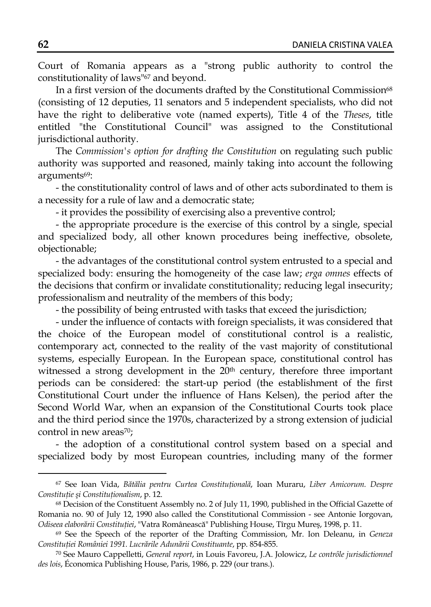Court of Romania appears as a "strong public authority to control the constitutionality of laws"67 and beyond.

In a first version of the documents drafted by the Constitutional Commission<sup>68</sup> (consisting of 12 deputies, 11 senators and 5 independent specialists, who did not have the right to deliberative vote (named experts), Title 4 of the *Theses*, title entitled "the Constitutional Council" was assigned to the Constitutional jurisdictional authority.

The *Commission's option for drafting the Constitution* on regulating such public authority was supported and reasoned, mainly taking into account the following arguments<sup>69</sup>:

- the constitutionality control of laws and of other acts subordinated to them is a necessity for a rule of law and a democratic state;

- it provides the possibility of exercising also a preventive control;

- the appropriate procedure is the exercise of this control by a single, special and specialized body, all other known procedures being ineffective, obsolete, objectionable;

- the advantages of the constitutional control system entrusted to a special and specialized body: ensuring the homogeneity of the case law; *erga omnes* effects of the decisions that confirm or invalidate constitutionality; reducing legal insecurity; professionalism and neutrality of the members of this body;

- the possibility of being entrusted with tasks that exceed the jurisdiction;

- under the influence of contacts with foreign specialists, it was considered that the choice of the European model of constitutional control is a realistic, contemporary act, connected to the reality of the vast majority of constitutional systems, especially European. In the European space, constitutional control has witnessed a strong development in the 20<sup>th</sup> century, therefore three important periods can be considered: the start-up period (the establishment of the first Constitutional Court under the influence of Hans Kelsen), the period after the Second World War, when an expansion of the Constitutional Courts took place and the third period since the 1970s, characterized by a strong extension of judicial control in new areas<sup>70</sup>;

- the adoption of a constitutional control system based on a special and specialized body by most European countries, including many of the former

<sup>67</sup> See Ioan Vida, *Bătălia pentru Curtea Constituţională*, Ioan Muraru, *Liber Amicorum. Despre Constituţie şi Constituţionalism*, p. 12.

<sup>68</sup> Decision of the Constituent Assembly no. 2 of July 11, 1990, published in the Official Gazette of Romania no. 90 of July 12, 1990 also called the Constitutional Commission - see Antonie Iorgovan, *Odiseea elaborării Constituţiei*, "Vatra Românească" Publishing House, Tîrgu Mureş, 1998, p. 11.

<sup>69</sup> See the Speech of the reporter of the Drafting Commission, Mr. Ion Deleanu, in *Geneza Constituţiei României 1991. Lucrările Adunării Constituante*, pp. 854-855.

<sup>70</sup> See Mauro Cappelletti, *General report*, in Louis Favoreu, J.A. Jolowicz, *Le contrôle jurisdictionnel des lois*, Économica Publishing House, Paris, 1986, p. 229 (our trans.).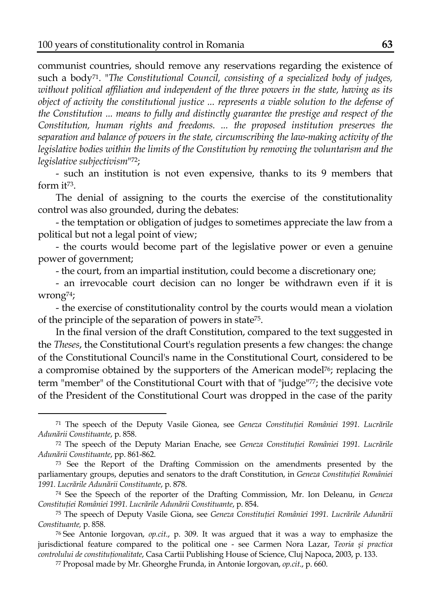l

communist countries, should remove any reservations regarding the existence of such a body71. "*The Constitutional Council, consisting of a specialized body of judges, without political affiliation and independent of the three powers in the state, having as its object of activity the constitutional justice ... represents a viable solution to the defense of the Constitution ... means to fully and distinctly guarantee the prestige and respect of the Constitution, human rights and freedoms. ... the proposed institution preserves the separation and balance of powers in the state, circumscribing the law-making activity of the legislative bodies within the limits of the Constitution by removing the voluntarism and the legislative subjectivism*"72;

- such an institution is not even expensive, thanks to its 9 members that form it73.

The denial of assigning to the courts the exercise of the constitutionality control was also grounded, during the debates:

- the temptation or obligation of judges to sometimes appreciate the law from a political but not a legal point of view;

- the courts would become part of the legislative power or even a genuine power of government;

- the court, from an impartial institution, could become a discretionary one;

- an irrevocable court decision can no longer be withdrawn even if it is wrong74;

- the exercise of constitutionality control by the courts would mean a violation of the principle of the separation of powers in state75.

In the final version of the draft Constitution, compared to the text suggested in the *Theses*, the Constitutional Court's regulation presents a few changes: the change of the Constitutional Council's name in the Constitutional Court, considered to be a compromise obtained by the supporters of the American model76; replacing the term "member" of the Constitutional Court with that of "judge"77; the decisive vote of the President of the Constitutional Court was dropped in the case of the parity

<sup>71</sup> The speech of the Deputy Vasile Gionea, see *Geneza Constituţiei României 1991. Lucrările Adunării Constituante*, p. 858.

<sup>72</sup> The speech of the Deputy Marian Enache, see *Geneza Constituţiei României 1991. Lucrările Adunării Constituante*, pp. 861-862.

<sup>73</sup> See the Report of the Drafting Commission on the amendments presented by the parliamentary groups, deputies and senators to the draft Constitution, in *Geneza Constituţiei României 1991. Lucrările Adunării Constituante*, p. 878.

<sup>74</sup> See the Speech of the reporter of the Drafting Commission, Mr. Ion Deleanu, in *Geneza Constituţiei României 1991. Lucrările Adunării Constituante*, p. 854.

<sup>75</sup> The speech of Deputy Vasile Giona, see *Geneza Constituţiei României 1991. Lucrările Adunării Constituante,* p. 858.

<sup>76</sup> See Antonie Iorgovan, *op.cit*., p. 309. It was argued that it was a way to emphasize the jurisdictional feature compared to the political one - see Carmen Nora Lazar, *Teoria şi practica controlului de constituţionalitate*, Casa Cartii Publishing House of Science, Cluj Napoca, 2003, p. 133.

<sup>77</sup> Proposal made by Mr. Gheorghe Frunda, in Antonie Iorgovan, *op.cit*., p. 660.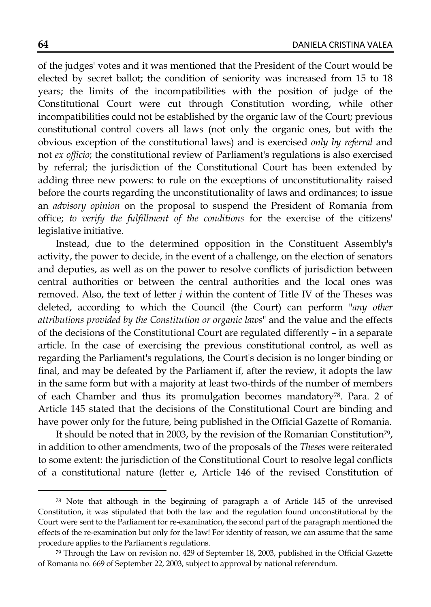of the judges' votes and it was mentioned that the President of the Court would be elected by secret ballot; the condition of seniority was increased from 15 to 18 years; the limits of the incompatibilities with the position of judge of the Constitutional Court were cut through Constitution wording, while other incompatibilities could not be established by the organic law of the Court; previous constitutional control covers all laws (not only the organic ones, but with the obvious exception of the constitutional laws) and is exercised *only by referral* and not *ex officio*; the constitutional review of Parliament's regulations is also exercised by referral; the jurisdiction of the Constitutional Court has been extended by adding three new powers: to rule on the exceptions of unconstitutionality raised before the courts regarding the unconstitutionality of laws and ordinances; to issue an *advisory opinion* on the proposal to suspend the President of Romania from office; *to verify the fulfillment of the conditions* for the exercise of the citizens' legislative initiative.

Instead, due to the determined opposition in the Constituent Assembly's activity, the power to decide, in the event of a challenge, on the election of senators and deputies, as well as on the power to resolve conflicts of jurisdiction between central authorities or between the central authorities and the local ones was removed. Also, the text of letter *j* within the content of Title IV of the Theses was deleted, according to which the Council (the Court) can perform "*any other attributions provided by the Constitution or organic laws*" and the value and the effects of the decisions of the Constitutional Court are regulated differently – in a separate article. In the case of exercising the previous constitutional control, as well as regarding the Parliament's regulations, the Court's decision is no longer binding or final, and may be defeated by the Parliament if, after the review, it adopts the law in the same form but with a majority at least two-thirds of the number of members of each Chamber and thus its promulgation becomes mandatory78. Para. 2 of Article 145 stated that the decisions of the Constitutional Court are binding and have power only for the future, being published in the Official Gazette of Romania.

It should be noted that in 2003, by the revision of the Romanian Constitution79, in addition to other amendments, two of the proposals of the *Theses* were reiterated to some extent: the jurisdiction of the Constitutional Court to resolve legal conflicts of a constitutional nature (letter e, Article 146 of the revised Constitution of

<sup>78</sup> Note that although in the beginning of paragraph a of Article 145 of the unrevised Constitution, it was stipulated that both the law and the regulation found unconstitutional by the Court were sent to the Parliament for re-examination, the second part of the paragraph mentioned the effects of the re-examination but only for the law! For identity of reason, we can assume that the same procedure applies to the Parliament's regulations.

<sup>79</sup> Through the Law on revision no. 429 of September 18, 2003, published in the Official Gazette of Romania no. 669 of September 22, 2003, subject to approval by national referendum.